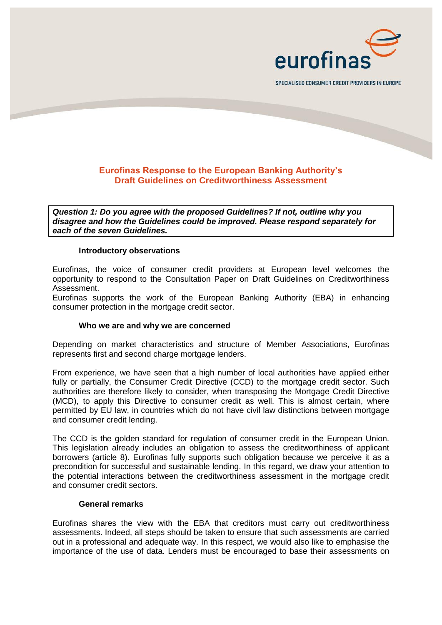

SPECIALISED CONSUMER CREDIT PROVIDERS IN EUROPE

# **Eurofinas Response to the European Banking Authority's Draft Guidelines on Creditworthiness Assessment**

*Question 1: Do you agree with the proposed Guidelines? If not, outline why you disagree and how the Guidelines could be improved. Please respond separately for each of the seven Guidelines.* 

### **Introductory observations**

Eurofinas, the voice of consumer credit providers at European level welcomes the opportunity to respond to the Consultation Paper on Draft Guidelines on Creditworthiness Assessment.

Eurofinas supports the work of the European Banking Authority (EBA) in enhancing consumer protection in the mortgage credit sector.

### **Who we are and why we are concerned**

Depending on market characteristics and structure of Member Associations, Eurofinas represents first and second charge mortgage lenders.

From experience, we have seen that a high number of local authorities have applied either fully or partially, the Consumer Credit Directive (CCD) to the mortgage credit sector. Such authorities are therefore likely to consider, when transposing the Mortgage Credit Directive (MCD), to apply this Directive to consumer credit as well. This is almost certain, where permitted by EU law, in countries which do not have civil law distinctions between mortgage and consumer credit lending.

The CCD is the golden standard for regulation of consumer credit in the European Union. This legislation already includes an obligation to assess the creditworthiness of applicant borrowers (article 8). Eurofinas fully supports such obligation because we perceive it as a precondition for successful and sustainable lending. In this regard, we draw your attention to the potential interactions between the creditworthiness assessment in the mortgage credit and consumer credit sectors.

#### **General remarks**

Eurofinas shares the view with the EBA that creditors must carry out creditworthiness assessments. Indeed, all steps should be taken to ensure that such assessments are carried out in a professional and adequate way. In this respect, we would also like to emphasise the importance of the use of data. Lenders must be encouraged to base their assessments on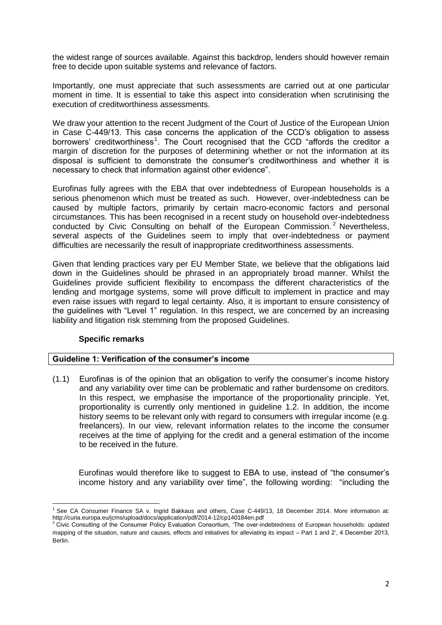the widest range of sources available. Against this backdrop, lenders should however remain free to decide upon suitable systems and relevance of factors.

Importantly, one must appreciate that such assessments are carried out at one particular moment in time. It is essential to take this aspect into consideration when scrutinising the execution of creditworthiness assessments.

We draw your attention to the recent Judgment of the Court of Justice of the European Union in Case C-449/13. This case concerns the application of the CCD's obligation to assess borrowers' creditworthiness<sup>1</sup>. The Court recognised that the CCD "affords the creditor a margin of discretion for the purposes of determining whether or not the information at its disposal is sufficient to demonstrate the consumer's creditworthiness and whether it is necessary to check that information against other evidence".

Eurofinas fully agrees with the EBA that over indebtedness of European households is a serious phenomenon which must be treated as such. However, over-indebtedness can be caused by multiple factors, primarily by certain macro-economic factors and personal circumstances. This has been recognised in a recent study on household over-indebtedness conducted by Civic Consulting on behalf of the European Commission.<sup>2</sup> Nevertheless, several aspects of the Guidelines seem to imply that over-indebtedness or payment difficulties are necessarily the result of inappropriate creditworthiness assessments.

Given that lending practices vary per EU Member State, we believe that the obligations laid down in the Guidelines should be phrased in an appropriately broad manner. Whilst the Guidelines provide sufficient flexibility to encompass the different characteristics of the lending and mortgage systems, some will prove difficult to implement in practice and may even raise issues with regard to legal certainty. Also, it is important to ensure consistency of the guidelines with "Level 1" regulation. In this respect, we are concerned by an increasing liability and litigation risk stemming from the proposed Guidelines.

## **Specific remarks**

## **Guideline 1: Verification of the consumer's income**

(1.1) Eurofinas is of the opinion that an obligation to verify the consumer's income history and any variability over time can be problematic and rather burdensome on creditors. In this respect, we emphasise the importance of the proportionality principle. Yet, proportionality is currently only mentioned in guideline 1.2. In addition, the income history seems to be relevant only with regard to consumers with irregular income (e.g. freelancers). In our view, relevant information relates to the income the consumer receives at the time of applying for the credit and a general estimation of the income to be received in the future.

Eurofinas would therefore like to suggest to EBA to use, instead of "the consumer's income history and any variability over time", the following wording: "including the

 $\overline{a}$ <sup>1</sup> See CA Consumer Finance SA v. Ingrid Bakkaus and others, Case C-449/13, 18 December 2014. More information at: <http://curia.europa.eu/jcms/upload/docs/application/pdf/2014-12/cp140184en.pdf>

 $2$  Civic Consulting of the Consumer Policy Evaluation Consortium, 'The over-indebtedness of European households: updated mapping of the situation, nature and causes, effects and initiatives for alleviating its impact – Part 1 and 2', 4 December 2013, Berlin.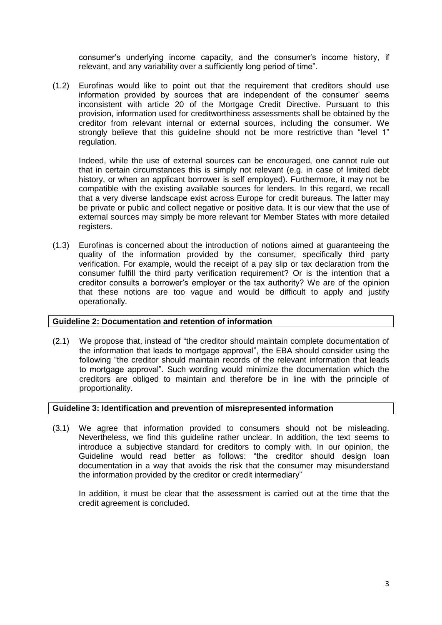consumer's underlying income capacity, and the consumer's income history, if relevant, and any variability over a sufficiently long period of time".

(1.2) Eurofinas would like to point out that the requirement that creditors should use information provided by sources that are independent of the consumer' seems inconsistent with article 20 of the Mortgage Credit Directive. Pursuant to this provision, information used for creditworthiness assessments shall be obtained by the creditor from relevant internal or external sources, including the consumer. We strongly believe that this guideline should not be more restrictive than "level 1" regulation.

Indeed, while the use of external sources can be encouraged, one cannot rule out that in certain circumstances this is simply not relevant (e.g. in case of limited debt history, or when an applicant borrower is self employed). Furthermore, it may not be compatible with the existing available sources for lenders. In this regard, we recall that a very diverse landscape exist across Europe for credit bureaus. The latter may be private or public and collect negative or positive data. It is our view that the use of external sources may simply be more relevant for Member States with more detailed registers.

(1.3) Eurofinas is concerned about the introduction of notions aimed at guaranteeing the quality of the information provided by the consumer, specifically third party verification. For example, would the receipt of a pay slip or tax declaration from the consumer fulfill the third party verification requirement? Or is the intention that a creditor consults a borrower's employer or the tax authority? We are of the opinion that these notions are too vague and would be difficult to apply and justify operationally.

### **Guideline 2: Documentation and retention of information**

(2.1) We propose that, instead of "the creditor should maintain complete documentation of the information that leads to mortgage approval", the EBA should consider using the following "the creditor should maintain records of the relevant information that leads to mortgage approval". Such wording would minimize the documentation which the creditors are obliged to maintain and therefore be in line with the principle of proportionality.

### **Guideline 3: Identification and prevention of misrepresented information**

(3.1) We agree that information provided to consumers should not be misleading. Nevertheless, we find this guideline rather unclear. In addition, the text seems to introduce a subjective standard for creditors to comply with. In our opinion, the Guideline would read better as follows: "the creditor should design loan documentation in a way that avoids the risk that the consumer may misunderstand the information provided by the creditor or credit intermediary"

In addition, it must be clear that the assessment is carried out at the time that the credit agreement is concluded.